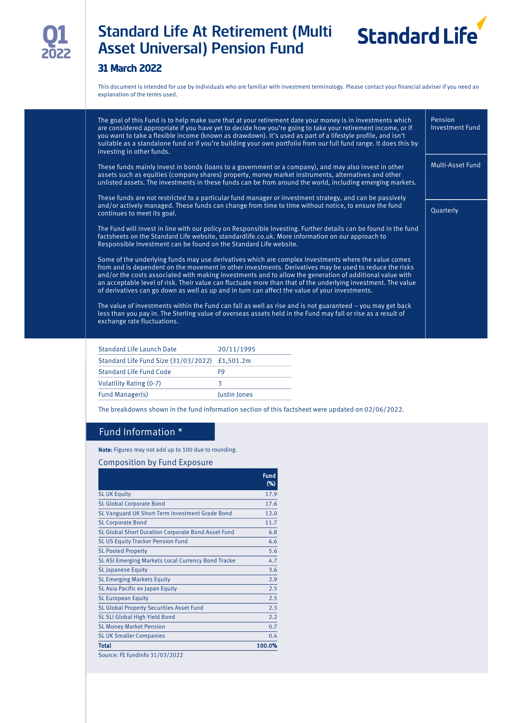

# Standard Life At Retirement (Multi Asset Universal) Pension Fund



## 31 March 2022

This document is intended for use by individuals who are familiar with investment terminology. Please contact your financial adviser if you need an explanation of the terms used.

| The goal of this Fund is to help make sure that at your retirement date your money is in investments which<br>are considered appropriate if you have yet to decide how you're going to take your retirement income, or if<br>you want to take a flexible income (known as drawdown). It's used as part of a lifestyle profile, and isn't<br>suitable as a standalone fund or if you're building your own portfolio from our full fund range. It does this by<br>investing in other funds.                                                      | Pension<br>Investment Fund |
|------------------------------------------------------------------------------------------------------------------------------------------------------------------------------------------------------------------------------------------------------------------------------------------------------------------------------------------------------------------------------------------------------------------------------------------------------------------------------------------------------------------------------------------------|----------------------------|
| These funds mainly invest in bonds (loans to a government or a company), and may also invest in other<br>assets such as equities (company shares) property, money market instruments, alternatives and other<br>unlisted assets. The investments in these funds can be from around the world, including emerging markets.                                                                                                                                                                                                                      | Multi-Asset Fund           |
| These funds are not restricted to a particular fund manager or investment strategy, and can be passively<br>and/or actively managed. These funds can change from time to time without notice, to ensure the fund<br>continues to meet its goal.                                                                                                                                                                                                                                                                                                | Quarterly                  |
| The Fund will invest in line with our policy on Responsible Investing. Further details can be found in the fund<br>factsheets on the Standard Life website, standardlife.co.uk. More information on our approach to<br>Responsible Investment can be found on the Standard Life website.                                                                                                                                                                                                                                                       |                            |
| Some of the underlying funds may use derivatives which are complex investments where the value comes<br>from and is dependent on the movement in other investments. Derivatives may be used to reduce the risks<br>and/or the costs associated with making investments and to allow the generation of additional value with<br>an acceptable level of risk. Their value can fluctuate more than that of the underlying investment. The value<br>of derivatives can go down as well as up and in turn can affect the value of your investments. |                            |
| The value of investments within the Fund can fall as well as rise and is not guaranteed $-$ you may get back<br>less than you pay in. The Sterling value of overseas assets held in the Fund may fall or rise as a result of<br>exchange rate fluctuations.                                                                                                                                                                                                                                                                                    |                            |
|                                                                                                                                                                                                                                                                                                                                                                                                                                                                                                                                                |                            |

| <b>Standard Life Launch Date</b>               | 20/11/1995          |
|------------------------------------------------|---------------------|
| Standard Life Fund Size (31/03/2022) £1,501.2m |                     |
| Standard Life Fund Code                        | F9                  |
| <b>Volatility Rating (0-7)</b>                 |                     |
| Fund Manager(s)                                | <b>lustin lones</b> |

The breakdowns shown in the fund information section of this factsheet were updated on 02/06/2022.

## Fund Information \*

Note: Figures may not add up to 100 due to rounding.

#### Composition by Fund Exposure

|                                                    | <b>Fund</b><br>$(\%)$ |
|----------------------------------------------------|-----------------------|
| <b>SLUK Equity</b>                                 | 17.9                  |
| <b>SL Global Corporate Bond</b>                    | 17.6                  |
| SL Vanguard UK Short-Term Investment Grade Bond    | 12.0                  |
| <b>SL Corporate Bond</b>                           | 11.7                  |
| SL Global Short Duration Corporate Bond Asset Fund | 6.8                   |
| <b>SL US Equity Tracker Pension Fund</b>           | 6.6                   |
| <b>SL Pooled Property</b>                          | 5.6                   |
| SL ASI Emerging Markets Local Currency Bond Tracke | 4.7                   |
| <b>SL Japanese Equity</b>                          | 3.6                   |
| <b>SL Emerging Markets Equity</b>                  | 2.9                   |
| SL Asia Pacific ex Japan Equity                    | 2.5                   |
| <b>SL European Equity</b>                          | 2.5                   |
| <b>SL Global Property Securities Asset Fund</b>    | 2.3                   |
| SL SLI Global High Yield Bond                      | 2.2                   |
| <b>SL Money Market Pension</b>                     | 0.7                   |
| <b>SL UK Smaller Companies</b>                     | 0.4                   |
| Total                                              | 100.0%                |
| Source: FE fundinfo 31/03/2022                     |                       |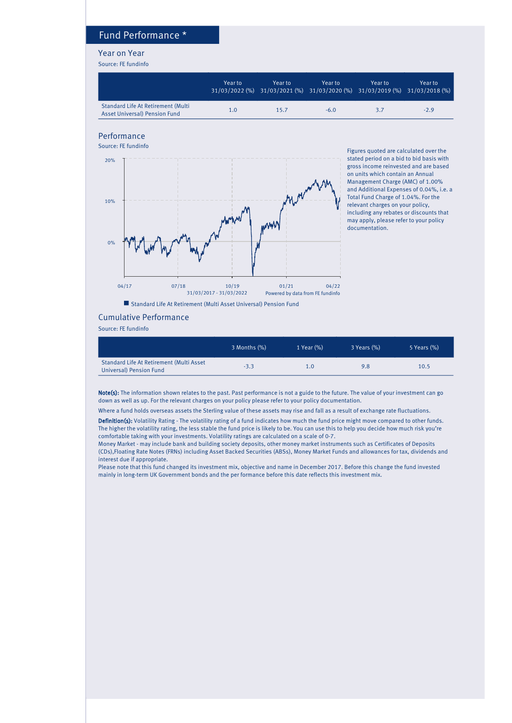## Fund Performance \*

#### Year on Year

Source: FE fundinfo

|                                                                            | Year to | Year to | Year to<br>31/03/2022 (%) 31/03/2021 (%) 31/03/2020 (%) 31/03/2019 (%) 31/03/2018 (%) | Year to: | Year to |
|----------------------------------------------------------------------------|---------|---------|---------------------------------------------------------------------------------------|----------|---------|
| Standard Life At Retirement (Multi<br><b>Asset Universal) Pension Fund</b> | 1.0     | 15.7    | $-6.0$                                                                                | 3.7      | $-2.9$  |

### Performance



Figures quoted are calculated over the stated period on a bid to bid basis with gross income reinvested and are based on units which contain an Annual Management Charge (AMC) of 1.00% and Additional Expenses of 0.04%, i.e. a Total Fund Charge of 1.04%. For the relevant charges on your policy, including any rebates or discounts that may apply, please refer to your policy documentation.

■ Standard Life At Retirement (Multi Asset Universal) Pension Fund

#### Cumulative Performance

Source: FE fundinfo

|                                                                     | 3 Months (%) | $1$ Year $(\%)$ | 3 Years (%) | 5 Years (%) |
|---------------------------------------------------------------------|--------------|-----------------|-------------|-------------|
| Standard Life At Retirement (Multi Asset<br>Universal) Pension Fund | $-3.3$       | 1.0             | 9.8         | 10.5        |

Note(s): The information shown relates to the past. Past performance is not a guide to the future. The value of your investment can go down as well as up. For the relevant charges on your policy please refer to your policy documentation.

Where a fund holds overseas assets the Sterling value of these assets may rise and fall as a result of exchange rate fluctuations.

Definition(s): Volatility Rating - The volatility rating of a fund indicates how much the fund price might move compared to other funds. The higher the volatility rating, the less stable the fund price is likely to be. You can use this to help you decide how much risk you're comfortable taking with your investments. Volatility ratings are calculated on a scale of 0-7.

Money Market - may include bank and building society deposits, other money market instruments such as Certificates of Deposits (CDs),Floating Rate Notes (FRNs) including Asset Backed Securities (ABSs), Money Market Funds and allowances for tax, dividends and interest due if appropriate.

Please note that this fund changed its investment mix, objective and name in December 2017. Before this change the fund invested mainly in long-term UK Government bonds and the per formance before this date reflects this investment mix.